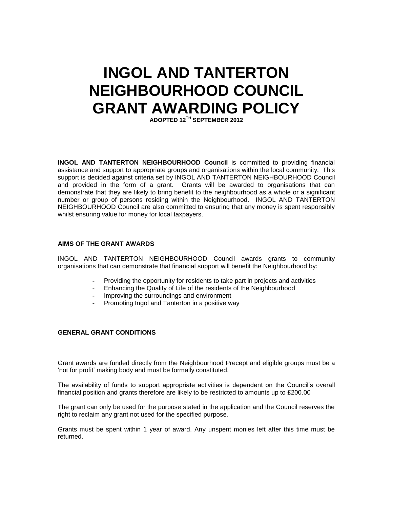# **INGOL AND TANTERTON NEIGHBOURHOOD COUNCIL GRANT AWARDING POLICY**

**ADOPTED 12TH SEPTEMBER 2012**

**INGOL AND TANTERTON NEIGHBOURHOOD Council** is committed to providing financial assistance and support to appropriate groups and organisations within the local community. This support is decided against criteria set by INGOL AND TANTERTON NEIGHBOURHOOD Council and provided in the form of a grant. Grants will be awarded to organisations that can demonstrate that they are likely to bring benefit to the neighbourhood as a whole or a significant number or group of persons residing within the Neighbourhood. INGOL AND TANTERTON NEIGHBOURHOOD Council are also committed to ensuring that any money is spent responsibly whilst ensuring value for money for local taxpayers.

### **AIMS OF THE GRANT AWARDS**

INGOL AND TANTERTON NEIGHBOURHOOD Council awards grants to community organisations that can demonstrate that financial support will benefit the Neighbourhood by:

- Providing the opportunity for residents to take part in projects and activities
- Enhancing the Quality of Life of the residents of the Neighbourhood
- Improving the surroundings and environment
- Promoting Ingol and Tanterton in a positive way

### **GENERAL GRANT CONDITIONS**

Grant awards are funded directly from the Neighbourhood Precept and eligible groups must be a 'not for profit' making body and must be formally constituted.

The availability of funds to support appropriate activities is dependent on the Council's overall financial position and grants therefore are likely to be restricted to amounts up to £200.00

The grant can only be used for the purpose stated in the application and the Council reserves the right to reclaim any grant not used for the specified purpose.

Grants must be spent within 1 year of award. Any unspent monies left after this time must be returned.